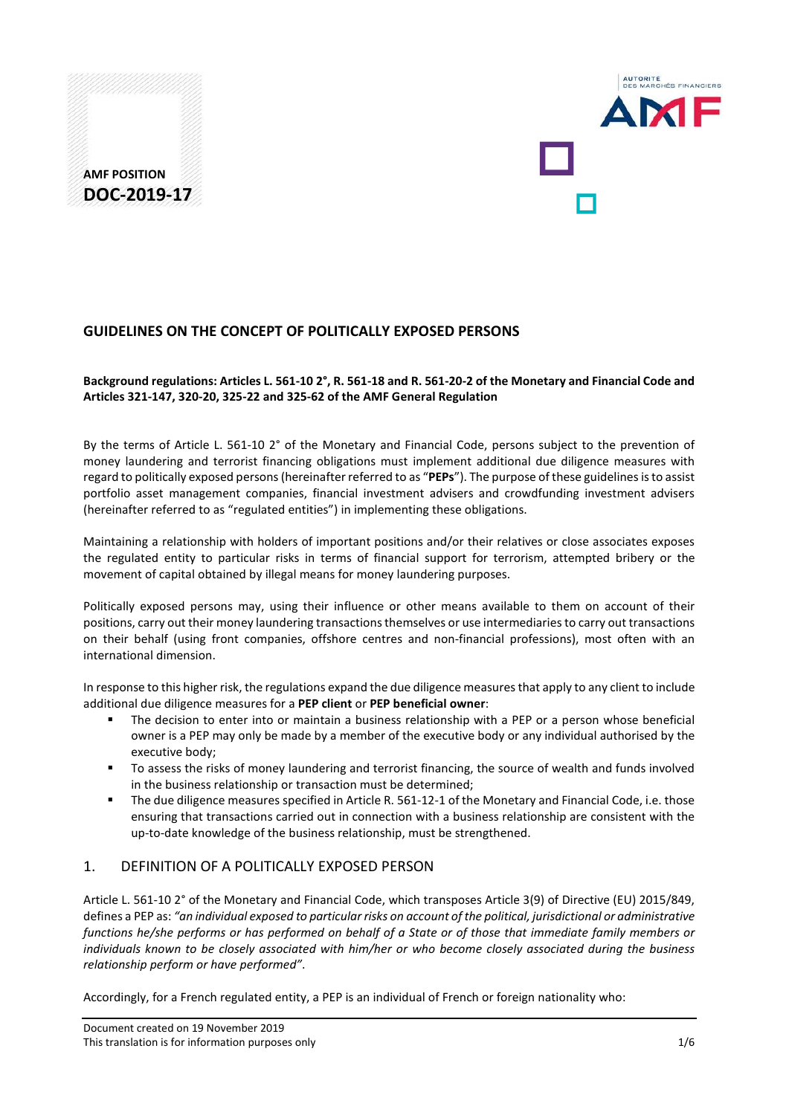



## **GUIDELINES ON THE CONCEPT OF POLITICALLY EXPOSED PERSONS**

### **Background regulations: Articles L. 561-10 2°, R. 561-18 and R. 561-20-2 of the Monetary and Financial Code and Articles 321-147, 320-20, 325-22 and 325-62 of the AMF General Regulation**

By the terms of Article L. 561-10 2° of the Monetary and Financial Code, persons subject to the prevention of money laundering and terrorist financing obligations must implement additional due diligence measures with regard to politically exposed persons (hereinafter referred to as "**PEPs**"). The purpose of these guidelines is to assist portfolio asset management companies, financial investment advisers and crowdfunding investment advisers (hereinafter referred to as "regulated entities") in implementing these obligations.

Maintaining a relationship with holders of important positions and/or their relatives or close associates exposes the regulated entity to particular risks in terms of financial support for terrorism, attempted bribery or the movement of capital obtained by illegal means for money laundering purposes.

Politically exposed persons may, using their influence or other means available to them on account of their positions, carry out their money laundering transactions themselves or use intermediaries to carry out transactions on their behalf (using front companies, offshore centres and non-financial professions), most often with an international dimension.

In response to this higher risk, the regulations expand the due diligence measures that apply to any client to include additional due diligence measures for a **PEP client** or **PEP beneficial owner**:

- The decision to enter into or maintain a business relationship with a PEP or a person whose beneficial owner is a PEP may only be made by a member of the executive body or any individual authorised by the executive body;
- **The assess the risks of money laundering and terrorist financing, the source of wealth and funds involved** in the business relationship or transaction must be determined;
- The due diligence measures specified in Article R. 561-12-1 of the Monetary and Financial Code, i.e. those ensuring that transactions carried out in connection with a business relationship are consistent with the up-to-date knowledge of the business relationship, must be strengthened.

## 1. DEFINITION OF A POLITICALLY EXPOSED PERSON

Article L. 561-10 2° of the Monetary and Financial Code, which transposes Article 3(9) of Directive (EU) 2015/849, defines a PEP as: *"an individual exposed to particular risks on account of the political, jurisdictional or administrative functions he/she performs or has performed on behalf of a State or of those that immediate family members or individuals known to be closely associated with him/her or who become closely associated during the business relationship perform or have performed"*.

Accordingly, for a French regulated entity, a PEP is an individual of French or foreign nationality who: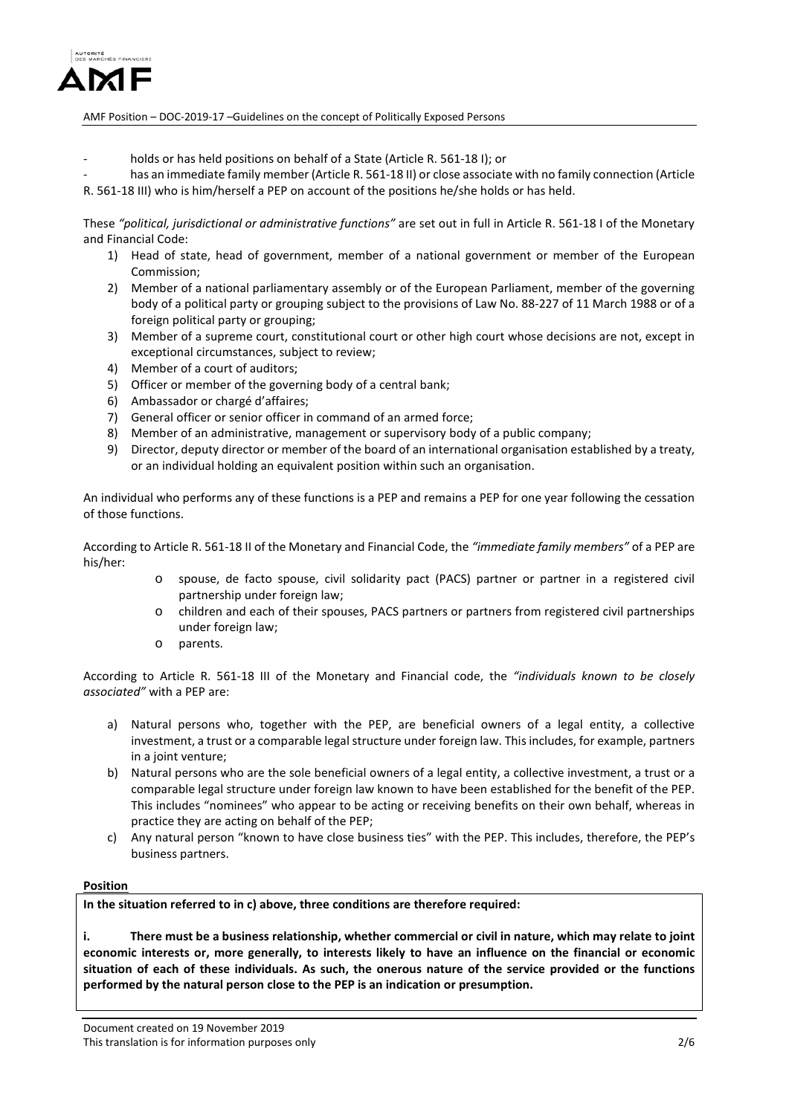

- holds or has held positions on behalf of a State (Article R. 561-18 I); or
- has an immediate family member (Article R. 561-18 II) or close associate with no family connection (Article R. 561-18 III) who is him/herself a PEP on account of the positions he/she holds or has held.

These *"political, jurisdictional or administrative functions"* are set out in full in Article R. 561-18 I of the Monetary and Financial Code:

- 1) Head of state, head of government, member of a national government or member of the European Commission;
- 2) Member of a national parliamentary assembly or of the European Parliament, member of the governing body of a political party or grouping subject to the provisions of Law No. 88-227 of 11 March 1988 or of a foreign political party or grouping;
- 3) Member of a supreme court, constitutional court or other high court whose decisions are not, except in exceptional circumstances, subject to review;
- 4) Member of a court of auditors;
- 5) Officer or member of the governing body of a central bank;
- 6) Ambassador or chargé d'affaires;
- 7) General officer or senior officer in command of an armed force;
- 8) Member of an administrative, management or supervisory body of a public company;
- 9) Director, deputy director or member of the board of an international organisation established by a treaty, or an individual holding an equivalent position within such an organisation.

An individual who performs any of these functions is a PEP and remains a PEP for one year following the cessation of those functions.

According to Article R. 561-18 II of the Monetary and Financial Code, the *"immediate family members"* of a PEP are his/her:

- o spouse, de facto spouse, civil solidarity pact (PACS) partner or partner in a registered civil partnership under foreign law;
- o children and each of their spouses, PACS partners or partners from registered civil partnerships under foreign law;
- o parents.

According to Article R. 561-18 III of the Monetary and Financial code, the *"individuals known to be closely associated"* with a PEP are:

- a) Natural persons who, together with the PEP, are beneficial owners of a legal entity, a collective investment, a trust or a comparable legal structure under foreign law. This includes, for example, partners in a joint venture;
- b) Natural persons who are the sole beneficial owners of a legal entity, a collective investment, a trust or a comparable legal structure under foreign law known to have been established for the benefit of the PEP. This includes "nominees" who appear to be acting or receiving benefits on their own behalf, whereas in practice they are acting on behalf of the PEP;
- c) Any natural person "known to have close business ties" with the PEP. This includes, therefore, the PEP's business partners.

### **Position**

**In the situation referred to in c) above, three conditions are therefore required:**

**i. There must be a business relationship, whether commercial or civil in nature, which may relate to joint economic interests or, more generally, to interests likely to have an influence on the financial or economic situation of each of these individuals. As such, the onerous nature of the service provided or the functions performed by the natural person close to the PEP is an indication or presumption.**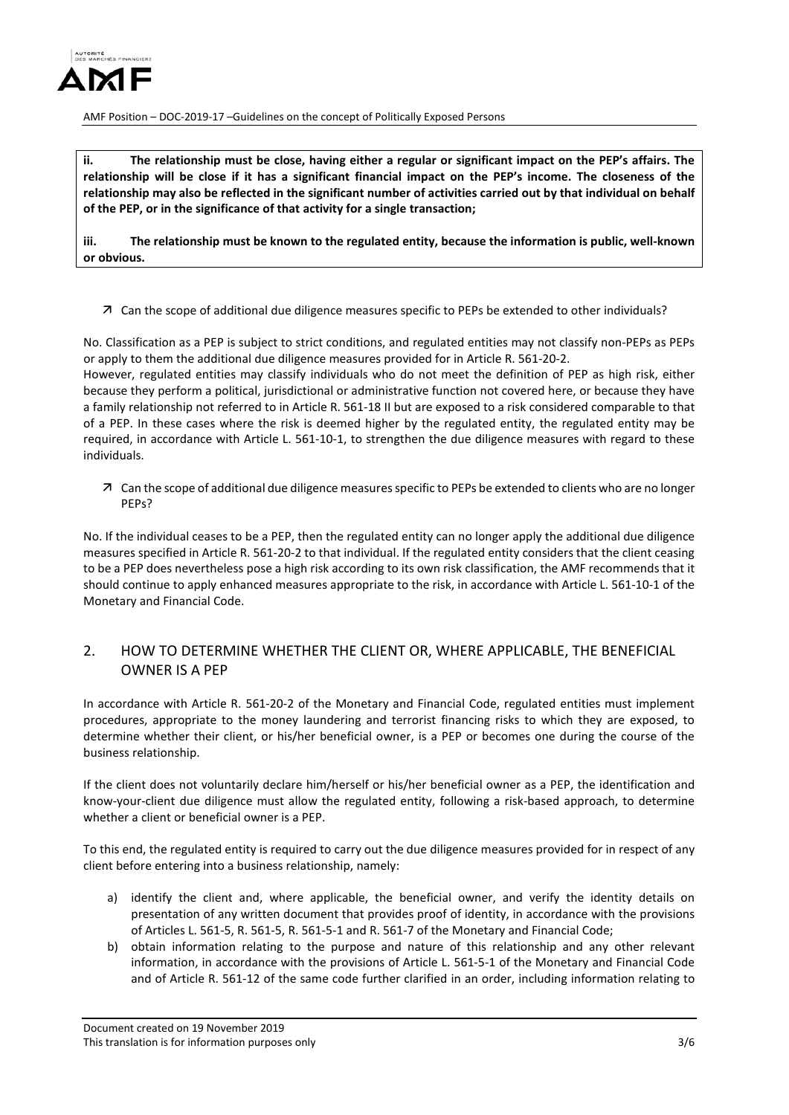

**ii. The relationship must be close, having either a regular or significant impact on the PEP's affairs. The relationship will be close if it has a significant financial impact on the PEP's income. The closeness of the relationship may also be reflected in the significant number of activities carried out by that individual on behalf of the PEP, or in the significance of that activity for a single transaction;** 

**iii. The relationship must be known to the regulated entity, because the information is public, well-known or obvious.**

Can the scope of additional due diligence measures specific to PEPs be extended to other individuals?

No. Classification as a PEP is subject to strict conditions, and regulated entities may not classify non-PEPs as PEPs or apply to them the additional due diligence measures provided for in Article R. 561-20-2.

However, regulated entities may classify individuals who do not meet the definition of PEP as high risk, either because they perform a political, jurisdictional or administrative function not covered here, or because they have a family relationship not referred to in Article R. 561-18 II but are exposed to a risk considered comparable to that of a PEP. In these cases where the risk is deemed higher by the regulated entity, the regulated entity may be required, in accordance with Article L. 561-10-1, to strengthen the due diligence measures with regard to these individuals.

 Can the scope of additional due diligence measures specific to PEPs be extended to clients who are no longer PEPs?

No. If the individual ceases to be a PEP, then the regulated entity can no longer apply the additional due diligence measures specified in Article R. 561-20-2 to that individual. If the regulated entity considers that the client ceasing to be a PEP does nevertheless pose a high risk according to its own risk classification, the AMF recommends that it should continue to apply enhanced measures appropriate to the risk, in accordance with Article L. 561-10-1 of the Monetary and Financial Code.

## 2. HOW TO DETERMINE WHETHER THE CLIENT OR, WHERE APPLICABLE, THE BENEFICIAL OWNER IS A PEP

In accordance with Article R. 561-20-2 of the Monetary and Financial Code, regulated entities must implement procedures, appropriate to the money laundering and terrorist financing risks to which they are exposed, to determine whether their client, or his/her beneficial owner, is a PEP or becomes one during the course of the business relationship.

If the client does not voluntarily declare him/herself or his/her beneficial owner as a PEP, the identification and know-your-client due diligence must allow the regulated entity, following a risk-based approach, to determine whether a client or beneficial owner is a PEP.

To this end, the regulated entity is required to carry out the due diligence measures provided for in respect of any client before entering into a business relationship, namely:

- a) identify the client and, where applicable, the beneficial owner, and verify the identity details on presentation of any written document that provides proof of identity, in accordance with the provisions of Articles L. 561-5, R. 561-5, R. 561-5-1 and R. 561-7 of the Monetary and Financial Code;
- b) obtain information relating to the purpose and nature of this relationship and any other relevant information, in accordance with the provisions of Article L. 561-5-1 of the Monetary and Financial Code and of Article R. 561-12 of the same code further clarified in an order, including information relating to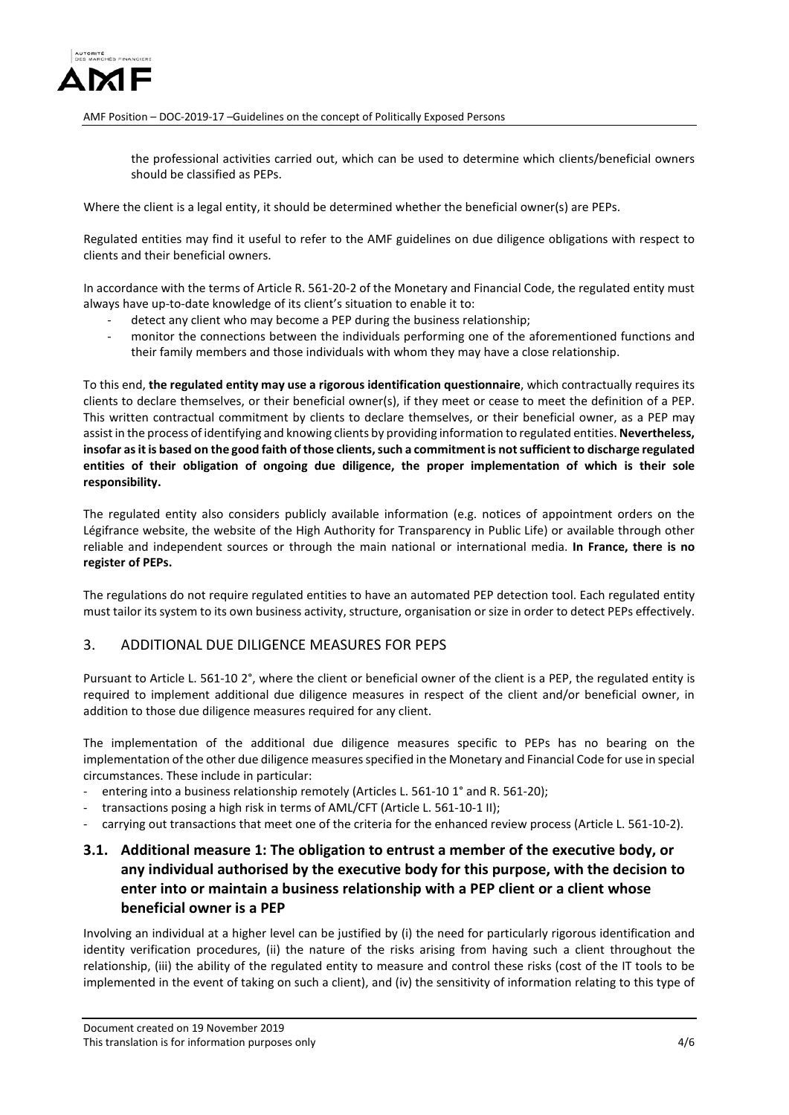

the professional activities carried out, which can be used to determine which clients/beneficial owners should be classified as PEPs.

Where the client is a legal entity, it should be determined whether the beneficial owner(s) are PEPs.

Regulated entities may find it useful to refer to the AMF guidelines on due diligence obligations with respect to clients and their beneficial owners.

In accordance with the terms of Article R. 561-20-2 of the Monetary and Financial Code, the regulated entity must always have up-to-date knowledge of its client's situation to enable it to:

- detect any client who may become a PEP during the business relationship;
- monitor the connections between the individuals performing one of the aforementioned functions and their family members and those individuals with whom they may have a close relationship.

To this end, **the regulated entity may use a rigorous identification questionnaire**, which contractually requires its clients to declare themselves, or their beneficial owner(s), if they meet or cease to meet the definition of a PEP. This written contractual commitment by clients to declare themselves, or their beneficial owner, as a PEP may assist in the process of identifying and knowing clients by providing information to regulated entities. **Nevertheless, insofar as it is based on the good faith of those clients, such a commitment is not sufficient to discharge regulated entities of their obligation of ongoing due diligence, the proper implementation of which is their sole responsibility.**

The regulated entity also considers publicly available information (e.g. notices of appointment orders on the Légifrance website, the website of the High Authority for Transparency in Public Life) or available through other reliable and independent sources or through the main national or international media. **In France, there is no register of PEPs.**

The regulations do not require regulated entities to have an automated PEP detection tool. Each regulated entity must tailor its system to its own business activity, structure, organisation or size in order to detect PEPs effectively.

### 3. ADDITIONAL DUE DILIGENCE MEASURES FOR PEPS

Pursuant to Article L. 561-10 2°, where the client or beneficial owner of the client is a PEP, the regulated entity is required to implement additional due diligence measures in respect of the client and/or beneficial owner, in addition to those due diligence measures required for any client.

The implementation of the additional due diligence measures specific to PEPs has no bearing on the implementation of the other due diligence measures specified in the Monetary and Financial Code for use in special circumstances. These include in particular:

- entering into a business relationship remotely (Articles L. 561-10 1° and R. 561-20);
- transactions posing a high risk in terms of AML/CFT (Article L. 561-10-1 II);
- carrying out transactions that meet one of the criteria for the enhanced review process (Article L. 561-10-2).

# **3.1. Additional measure 1: The obligation to entrust a member of the executive body, or any individual authorised by the executive body for this purpose, with the decision to enter into or maintain a business relationship with a PEP client or a client whose beneficial owner is a PEP**

Involving an individual at a higher level can be justified by (i) the need for particularly rigorous identification and identity verification procedures, (ii) the nature of the risks arising from having such a client throughout the relationship, (iii) the ability of the regulated entity to measure and control these risks (cost of the IT tools to be implemented in the event of taking on such a client), and (iv) the sensitivity of information relating to this type of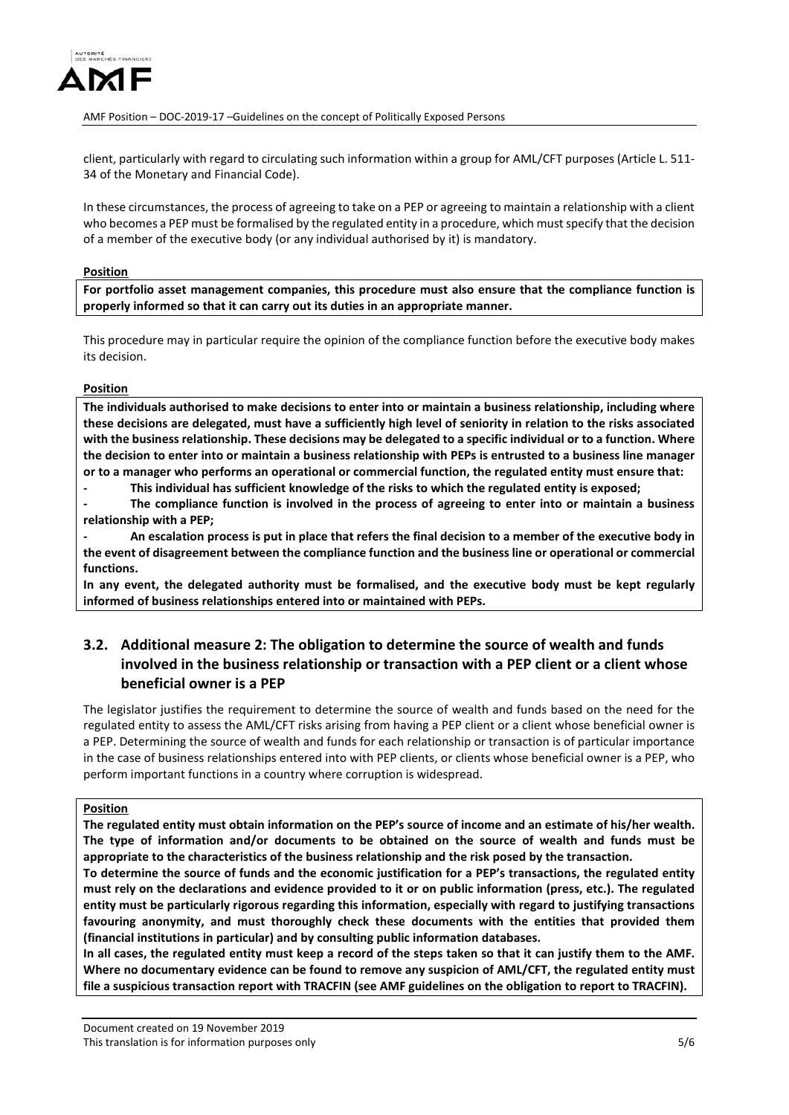

client, particularly with regard to circulating such information within a group for AML/CFT purposes (Article L. 511- 34 of the Monetary and Financial Code).

In these circumstances, the process of agreeing to take on a PEP or agreeing to maintain a relationship with a client who becomes a PEP must be formalised by the regulated entity in a procedure, which must specify that the decision of a member of the executive body (or any individual authorised by it) is mandatory.

#### **Position**

**For portfolio asset management companies, this procedure must also ensure that the compliance function is properly informed so that it can carry out its duties in an appropriate manner.**

This procedure may in particular require the opinion of the compliance function before the executive body makes its decision.

### **Position**

**The individuals authorised to make decisions to enter into or maintain a business relationship, including where these decisions are delegated, must have a sufficiently high level of seniority in relation to the risks associated with the business relationship. These decisions may be delegated to a specific individual or to a function. Where the decision to enter into or maintain a business relationship with PEPs is entrusted to a business line manager or to a manager who performs an operational or commercial function, the regulated entity must ensure that:** 

**- This individual has sufficient knowledge of the risks to which the regulated entity is exposed;** 

**- The compliance function is involved in the process of agreeing to enter into or maintain a business relationship with a PEP;** 

**- An escalation process is put in place that refers the final decision to a member of the executive body in the event of disagreement between the compliance function and the business line or operational or commercial functions.** 

**In any event, the delegated authority must be formalised, and the executive body must be kept regularly informed of business relationships entered into or maintained with PEPs.** 

## **3.2. Additional measure 2: The obligation to determine the source of wealth and funds involved in the business relationship or transaction with a PEP client or a client whose beneficial owner is a PEP**

The legislator justifies the requirement to determine the source of wealth and funds based on the need for the regulated entity to assess the AML/CFT risks arising from having a PEP client or a client whose beneficial owner is a PEP. Determining the source of wealth and funds for each relationship or transaction is of particular importance in the case of business relationships entered into with PEP clients, or clients whose beneficial owner is a PEP, who perform important functions in a country where corruption is widespread.

#### **Position**

**The regulated entity must obtain information on the PEP's source of income and an estimate of his/her wealth. The type of information and/or documents to be obtained on the source of wealth and funds must be appropriate to the characteristics of the business relationship and the risk posed by the transaction.** 

**To determine the source of funds and the economic justification for a PEP's transactions, the regulated entity must rely on the declarations and evidence provided to it or on public information (press, etc.). The regulated entity must be particularly rigorous regarding this information, especially with regard to justifying transactions favouring anonymity, and must thoroughly check these documents with the entities that provided them (financial institutions in particular) and by consulting public information databases.** 

**In all cases, the regulated entity must keep a record of the steps taken so that it can justify them to the AMF. Where no documentary evidence can be found to remove any suspicion of AML/CFT, the regulated entity must file a suspicious transaction report with TRACFIN (see AMF guidelines on the obligation to report to TRACFIN).**